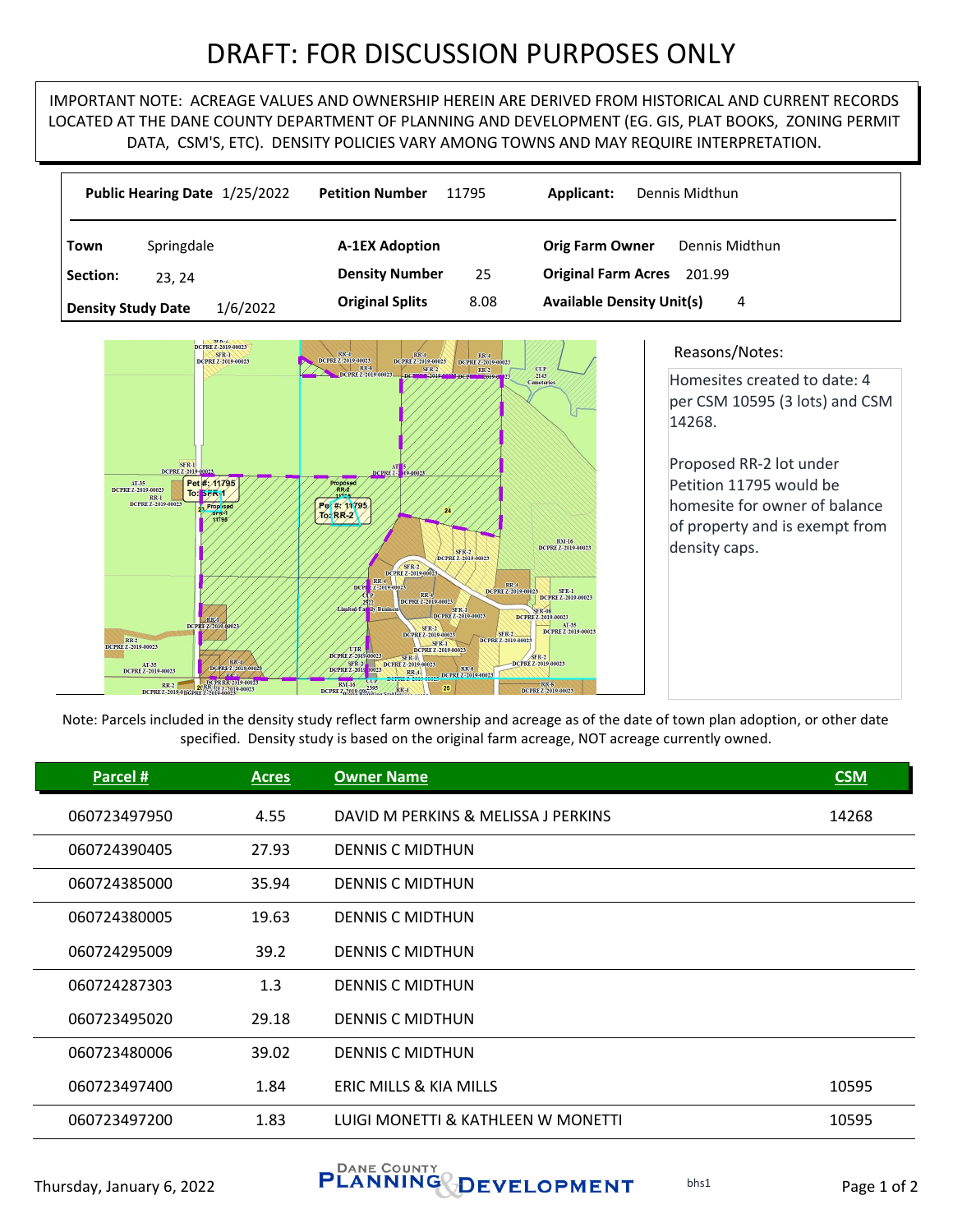## DRAFT: FOR DISCUSSION PURPOSES ONLY

IMPORTANT NOTE: ACREAGE VALUES AND OWNERSHIP HEREIN ARE DERIVED FROM HISTORICAL AND CURRENT RECORDS LOCATED AT THE DANE COUNTY DEPARTMENT OF PLANNING AND DEVELOPMENT (EG. GIS, PLAT BOOKS, ZONING PERMIT DATA, CSM'S, ETC). DENSITY POLICIES VARY AMONG TOWNS AND MAY REQUIRE INTERPRETATION.

|                                       | Public Hearing Date 1/25/2022       | <b>Petition Number</b><br>11795 | Applicant:<br>Dennis Midthun             |
|---------------------------------------|-------------------------------------|---------------------------------|------------------------------------------|
| Town                                  | Springdale<br><b>A-1EX Adoption</b> |                                 | Dennis Midthun<br><b>Orig Farm Owner</b> |
| Section:                              | 23.24                               | <b>Density Number</b><br>25     | <b>Original Farm Acres</b><br>201.99     |
| 1/6/2022<br><b>Density Study Date</b> |                                     | <b>Original Splits</b><br>8.08  | <b>Available Density Unit(s)</b><br>4    |



## Reasons/Notes:

Homesites created to date: 4 per CSM 10595 (3 lots) and CSM 14268.

Proposed RR‐2 lot under Petition 11795 would be homesite for owner of balance of property and is exempt from density caps.

Note: Parcels included in the density study reflect farm ownership and acreage as of the date of town plan adoption, or other date specified. Density study is based on the original farm acreage, NOT acreage currently owned.

| Parcel #     | <b>Acres</b> | <b>Owner Name</b>                   | <b>CSM</b> |
|--------------|--------------|-------------------------------------|------------|
| 060723497950 | 4.55         | DAVID M PERKINS & MELISSA J PERKINS | 14268      |
| 060724390405 | 27.93        | <b>DENNIS C MIDTHUN</b>             |            |
| 060724385000 | 35.94        | <b>DENNIS C MIDTHUN</b>             |            |
| 060724380005 | 19.63        | <b>DENNIS C MIDTHUN</b>             |            |
| 060724295009 | 39.2         | <b>DENNIS C MIDTHUN</b>             |            |
| 060724287303 | 1.3          | <b>DENNIS C MIDTHUN</b>             |            |
| 060723495020 | 29.18        | <b>DENNIS C MIDTHUN</b>             |            |
| 060723480006 | 39.02        | <b>DENNIS C MIDTHUN</b>             |            |
| 060723497400 | 1.84         | ERIC MILLS & KIA MILLS              | 10595      |
| 060723497200 | 1.83         | LUIGI MONETTI & KATHLEEN W MONETTI  | 10595      |